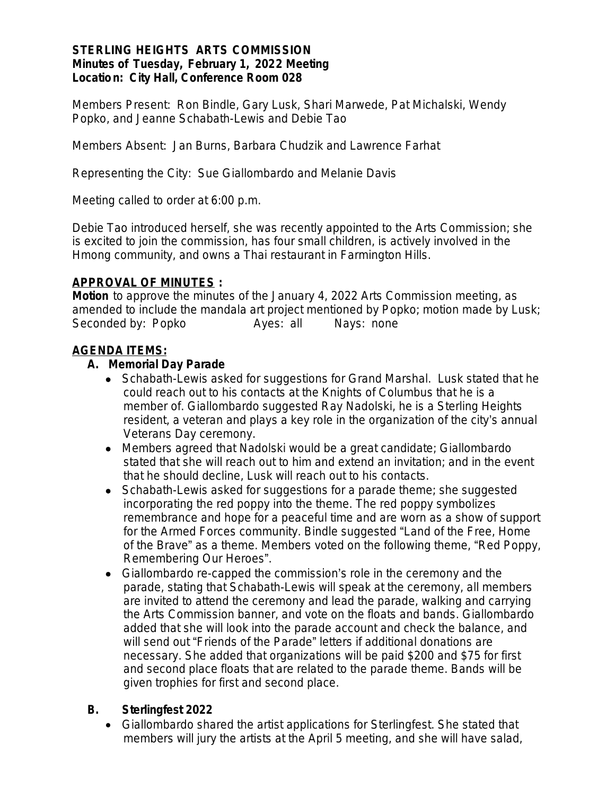#### **STERLING HEIGHTS ARTS COMMISSION Minutes of Tuesday, February 1, 2022 Meeting Location: City Hall, Conference Room 028**

*Members Present:* Ron Bindle, Gary Lusk, Shari Marwede, Pat Michalski, Wendy Popko, and Jeanne Schabath-Lewis and Debie Tao

*Members Absent*: Jan Burns, Barbara Chudzik and Lawrence Farhat

*Representing the City*: Sue Giallombardo and Melanie Davis

Meeting called to order at 6:00 p.m.

Debie Tao introduced herself, she was recently appointed to the Arts Commission; she is excited to join the commission, has four small children, is actively involved in the Hmong community, and owns a Thai restaurant in Farmington Hills.

#### **APPROVAL OF MINUTES :**

*Motion* to approve the minutes of the January 4, 2022 Arts Commission meeting, as amended to include the mandala art project mentioned by Popko; motion made by Lusk; Seconded by: Popko Ayes: all Nays: none

#### **AGENDA ITEMS:**

#### **A. Memorial Day Parade**

- Schabath-Lewis asked for suggestions for Grand Marshal. Lusk stated that he could reach out to his contacts at the Knights of Columbus that he is a member of. Giallombardo suggested Ray Nadolski, he is a Sterling Heights resident, a veteran and plays a key role in the organization of the city's annual Veterans Day ceremony.
- Members agreed that Nadolski would be a great candidate; Giallombardo stated that she will reach out to him and extend an invitation; and in the event that he should decline, Lusk will reach out to his contacts.
- Schabath-Lewis asked for suggestions for a parade theme; she suggested incorporating the red poppy into the theme. The red poppy symbolizes remembrance and hope for a peaceful time and are worn as a show of support for the Armed Forces community. Bindle suggested "Land of the Free, Home of the Brave" as a theme. Members voted on the following theme, "Red Poppy, Remembering Our Heroes".
- Giallombardo re-capped the commission's role in the ceremony and the parade, stating that Schabath-Lewis will speak at the ceremony, all members are invited to attend the ceremony and lead the parade, walking and carrying the Arts Commission banner, and vote on the floats and bands. Giallombardo added that she will look into the parade account and check the balance, and will send out "Friends of the Parade" letters if additional donations are necessary. She added that organizations will be paid \$200 and \$75 for first and second place floats that are related to the parade theme. Bands will be given trophies for first and second place.

#### **B. Sterlingfest 2022**

 Giallombardo shared the artist applications for Sterlingfest. She stated that members will jury the artists at the April 5 meeting, and she will have salad,